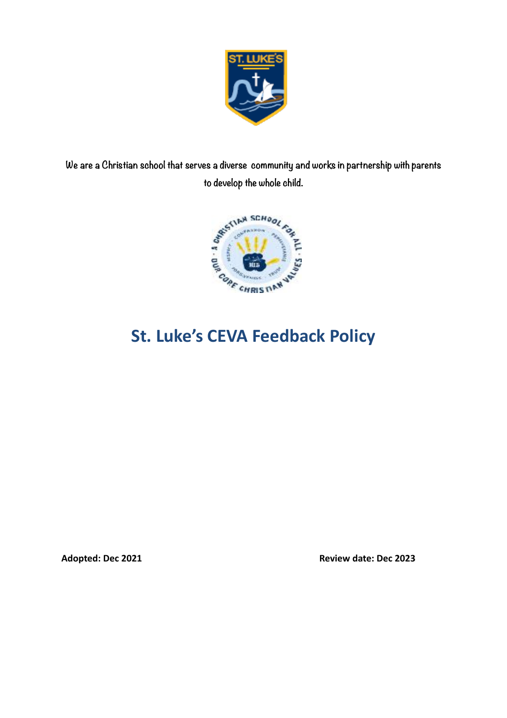

**We are a Christian school that serves a diverse community and works in partnership with parents to develop the whole child.**



Adopted: Dec 2021 **Review date: Dec 2023**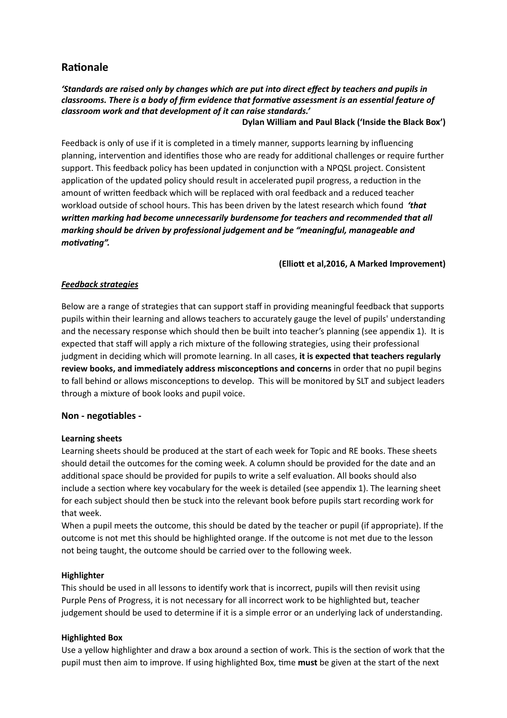### **Rationale**

#### *'Standards are raised only by changes which are put into direct effect by teachers and pupils in classrooms. There is a body of firm evidence that formative assessment is an essential feature of classroom work and that development of it can raise standards.'*

#### **Dylan William and Paul Black ('Inside the Black Box')**

Feedback is only of use if it is completed in a timely manner, supports learning by influencing planning, intervention and identifies those who are ready for additional challenges or require further support. This feedback policy has been updated in conjunction with a NPQSL project. Consistent application of the updated policy should result in accelerated pupil progress, a reduction in the amount of written feedback which will be replaced with oral feedback and a reduced teacher workload outside of school hours. This has been driven by the latest research which found *'that written marking had become unnecessarily burdensome for teachers and recommended that all marking should be driven by professional judgement and be "meaningful, manageable and motivating".*

#### **(Elliott et al,2016, A Marked Improvement)**

#### *Feedback strategies*

Below are a range of strategies that can support staff in providing meaningful feedback that supports pupils within their learning and allows teachers to accurately gauge the level of pupils' understanding and the necessary response which should then be built into teacher's planning (see appendix 1). It is expected that staff will apply a rich mixture of the following strategies, using their professional judgment in deciding which will promote learning. In all cases, **it is expected that teachers regularly review books, and immediately address misconceptions and concerns** in order that no pupil begins to fall behind or allows misconceptions to develop. This will be monitored by SLT and subject leaders through a mixture of book looks and pupil voice.

#### **Non - negotiables -**

#### **Learning sheets**

Learning sheets should be produced at the start of each week for Topic and RE books. These sheets should detail the outcomes for the coming week. A column should be provided for the date and an additional space should be provided for pupils to write a self evaluation. All books should also include a section where key vocabulary for the week is detailed (see appendix 1). The learning sheet for each subject should then be stuck into the relevant book before pupils start recording work for that week.

When a pupil meets the outcome, this should be dated by the teacher or pupil (if appropriate). If the outcome is not met this should be highlighted orange. If the outcome is not met due to the lesson not being taught, the outcome should be carried over to the following week.

#### **Highlighter**

This should be used in all lessons to identify work that is incorrect, pupils will then revisit using Purple Pens of Progress, it is not necessary for all incorrect work to be highlighted but, teacher judgement should be used to determine if it is a simple error or an underlying lack of understanding.

#### **Highlighted Box**

Use a yellow highlighter and draw a box around a section of work. This is the section of work that the pupil must then aim to improve. If using highlighted Box, time **must** be given at the start of the next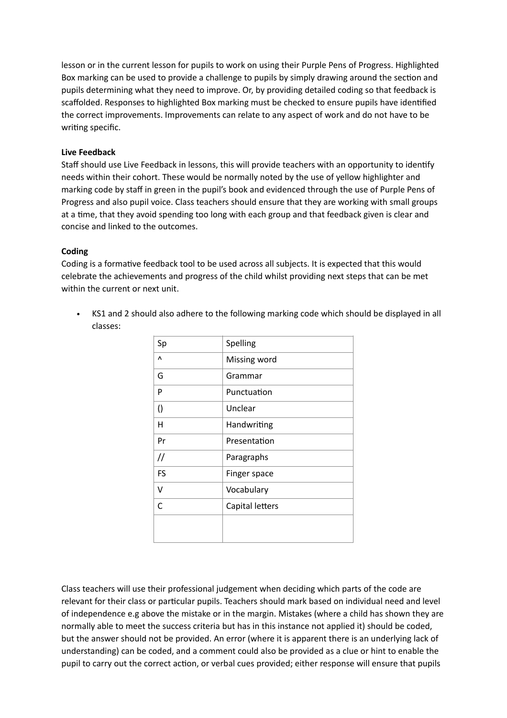lesson or in the current lesson for pupils to work on using their Purple Pens of Progress. Highlighted Box marking can be used to provide a challenge to pupils by simply drawing around the section and pupils determining what they need to improve. Or, by providing detailed coding so that feedback is scaffolded. Responses to highlighted Box marking must be checked to ensure pupils have identified the correct improvements. Improvements can relate to any aspect of work and do not have to be writing specific.

#### **Live Feedback**

Staff should use Live Feedback in lessons, this will provide teachers with an opportunity to identify needs within their cohort. These would be normally noted by the use of yellow highlighter and marking code by staff in green in the pupil's book and evidenced through the use of Purple Pens of Progress and also pupil voice. Class teachers should ensure that they are working with small groups at a time, that they avoid spending too long with each group and that feedback given is clear and concise and linked to the outcomes.

#### **Coding**

Coding is a formative feedback tool to be used across all subjects. It is expected that this would celebrate the achievements and progress of the child whilst providing next steps that can be met within the current or next unit.

• KS1 and 2 should also adhere to the following marking code which should be displayed in all classes:

| Spelling<br>Missing word<br>Grammar |
|-------------------------------------|
|                                     |
|                                     |
|                                     |
| Punctuation                         |
| Unclear                             |
| Handwriting                         |
| Presentation                        |
| Paragraphs                          |
| Finger space                        |
| Vocabulary                          |
| Capital letters                     |
|                                     |
|                                     |
|                                     |

Class teachers will use their professional judgement when deciding which parts of the code are relevant for their class or particular pupils. Teachers should mark based on individual need and level of independence e.g above the mistake or in the margin. Mistakes (where a child has shown they are normally able to meet the success criteria but has in this instance not applied it) should be coded, but the answer should not be provided. An error (where it is apparent there is an underlying lack of understanding) can be coded, and a comment could also be provided as a clue or hint to enable the pupil to carry out the correct action, or verbal cues provided; either response will ensure that pupils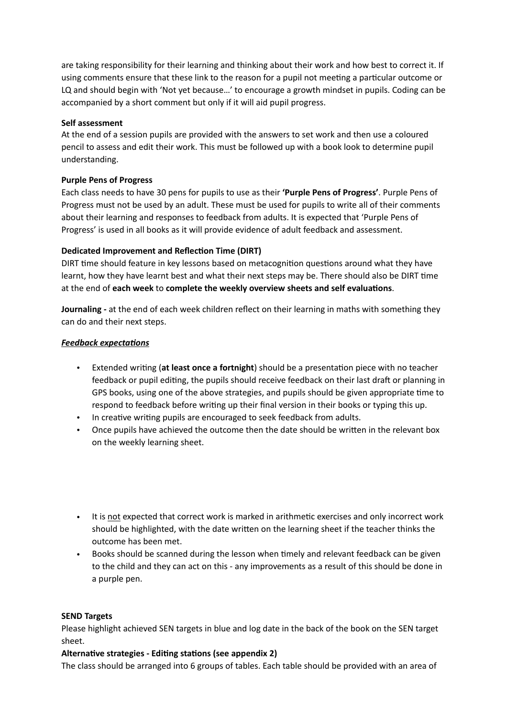are taking responsibility for their learning and thinking about their work and how best to correct it. If using comments ensure that these link to the reason for a pupil not meeting a particular outcome or LQ and should begin with 'Not yet because…' to encourage a growth mindset in pupils. Coding can be accompanied by a short comment but only if it will aid pupil progress.

#### **Self assessment**

At the end of a session pupils are provided with the answers to set work and then use a coloured pencil to assess and edit their work. This must be followed up with a book look to determine pupil understanding.

#### **Purple Pens of Progress**

Each class needs to have 30 pens for pupils to use as their **'Purple Pens of Progress'**. Purple Pens of Progress must not be used by an adult. These must be used for pupils to write all of their comments about their learning and responses to feedback from adults. It is expected that 'Purple Pens of Progress' is used in all books as it will provide evidence of adult feedback and assessment.

#### **Dedicated Improvement and Reflection Time (DIRT)**

DIRT time should feature in key lessons based on metacognition questions around what they have learnt, how they have learnt best and what their next steps may be. There should also be DIRT time at the end of **each week** to **complete the weekly overview sheets and self evaluations**.

**Journaling -** at the end of each week children reflect on their learning in maths with something they can do and their next steps.

#### *Feedback expectations*

- Extended writing (**at least once a fortnight**) should be a presentation piece with no teacher feedback or pupil editing, the pupils should receive feedback on their last draft or planning in GPS books, using one of the above strategies, and pupils should be given appropriate time to respond to feedback before writing up their final version in their books or typing this up.
- In creative writing pupils are encouraged to seek feedback from adults.
- Once pupils have achieved the outcome then the date should be written in the relevant box on the weekly learning sheet.
- It is not expected that correct work is marked in arithmetic exercises and only incorrect work should be highlighted, with the date written on the learning sheet if the teacher thinks the outcome has been met.
- Books should be scanned during the lesson when timely and relevant feedback can be given to the child and they can act on this - any improvements as a result of this should be done in a purple pen.

#### **SEND Targets**

Please highlight achieved SEN targets in blue and log date in the back of the book on the SEN target sheet.

#### **Alternative strategies - Editing stations (see appendix 2)**

The class should be arranged into 6 groups of tables. Each table should be provided with an area of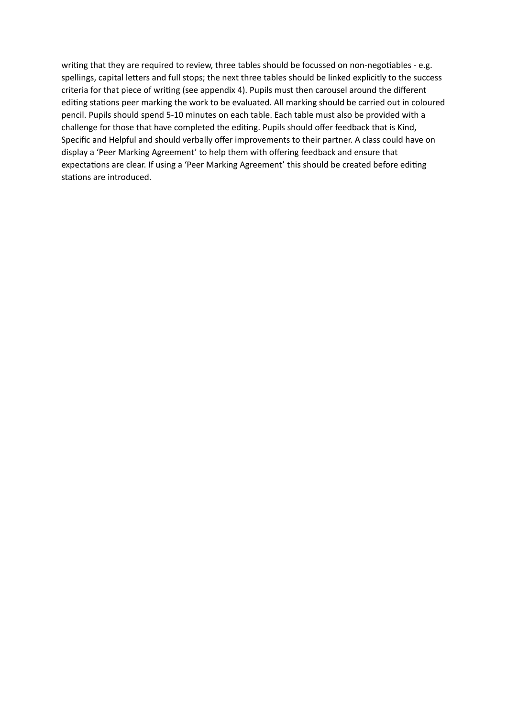writing that they are required to review, three tables should be focussed on non-negotiables - e.g. spellings, capital letters and full stops; the next three tables should be linked explicitly to the success criteria for that piece of writing (see appendix 4). Pupils must then carousel around the different editing stations peer marking the work to be evaluated. All marking should be carried out in coloured pencil. Pupils should spend 5-10 minutes on each table. Each table must also be provided with a challenge for those that have completed the editing. Pupils should offer feedback that is Kind, Specific and Helpful and should verbally offer improvements to their partner. A class could have on display a 'Peer Marking Agreement' to help them with offering feedback and ensure that expectations are clear. If using a 'Peer Marking Agreement' this should be created before editing stations are introduced.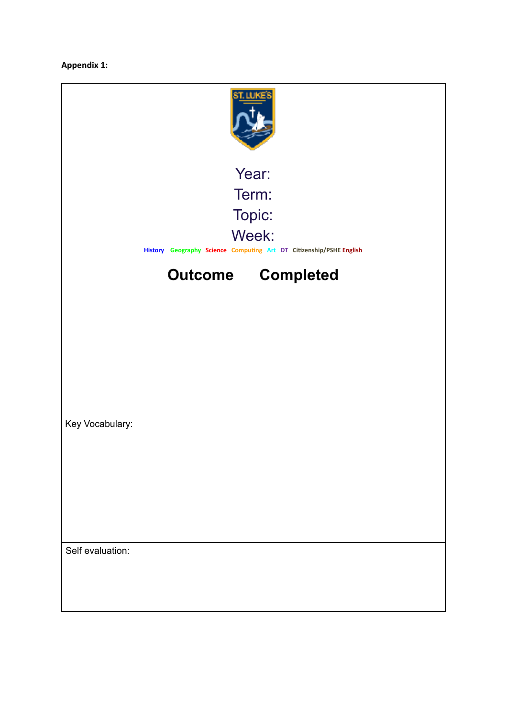**Appendix 1:**

| Year:                                                                        |  |                          |  |  |
|------------------------------------------------------------------------------|--|--------------------------|--|--|
|                                                                              |  | Term:                    |  |  |
|                                                                              |  | Topic:                   |  |  |
| Week:<br>History Geography Science Computing Art DT Citizenship/PSHE English |  |                          |  |  |
|                                                                              |  | <b>Outcome Completed</b> |  |  |
|                                                                              |  |                          |  |  |
|                                                                              |  |                          |  |  |
|                                                                              |  |                          |  |  |
|                                                                              |  |                          |  |  |
|                                                                              |  |                          |  |  |
| Key Vocabulary:                                                              |  |                          |  |  |
|                                                                              |  |                          |  |  |
|                                                                              |  |                          |  |  |
|                                                                              |  |                          |  |  |
|                                                                              |  |                          |  |  |
|                                                                              |  |                          |  |  |
| Self evaluation:                                                             |  |                          |  |  |
|                                                                              |  |                          |  |  |
|                                                                              |  |                          |  |  |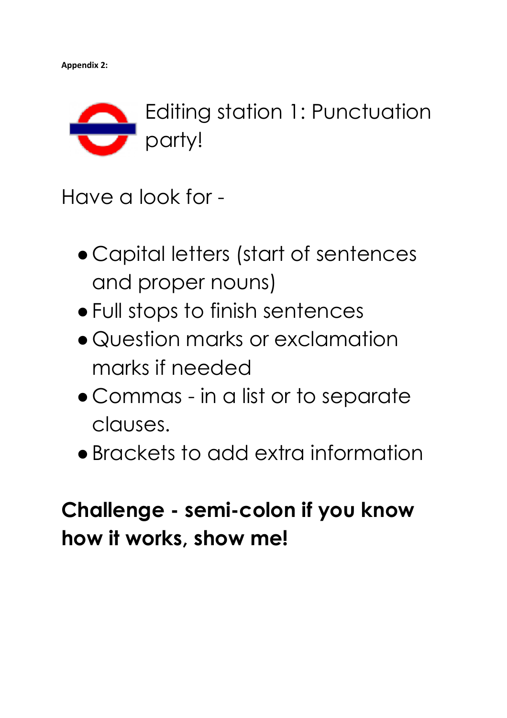

Have a look for -

- Capital letters (start of sentences and proper nouns)
- ●Full stops to finish sentences
- Question marks or exclamation marks if needed
- Commas in a list or to separate clauses.
- ●Brackets to add extra information

### **Challenge - semi-colon if you know how it works, show me!**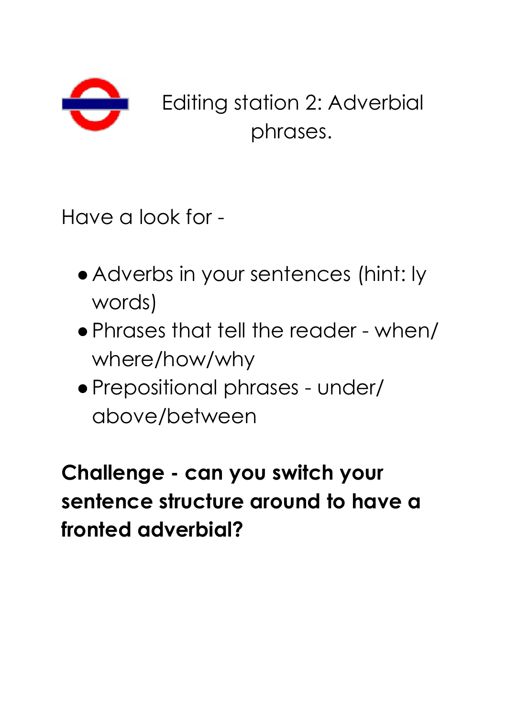

Editing station 2: Adverbial phrases.

Have a look for -

- ●Adverbs in your sentences (hint: ly words)
- ●Phrases that tell the reader when/ where/how/why
- ●Prepositional phrases under/ above/between

**Challenge - can you switch your sentence structure around to have a fronted adverbial?**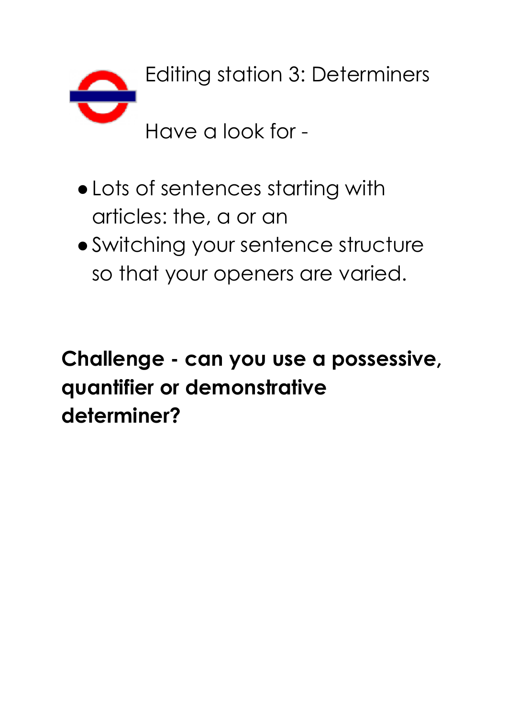

- ●Lots of sentences starting with articles: the, a or an
- ●Switching your sentence structure so that your openers are varied.

# **Challenge - can you use a possessive, quantifier or demonstrative determiner?**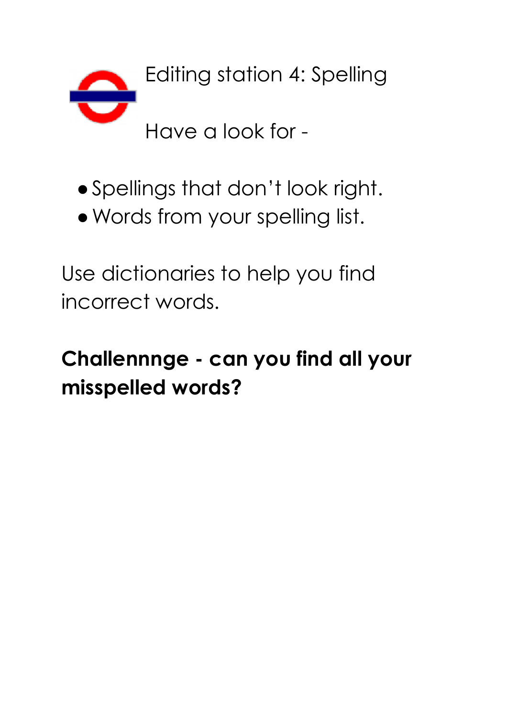

- ●Spellings that don't look right.
- ●Words from your spelling list.

Use dictionaries to help you find incorrect words.

# **Challennnge - can you find all your misspelled words?**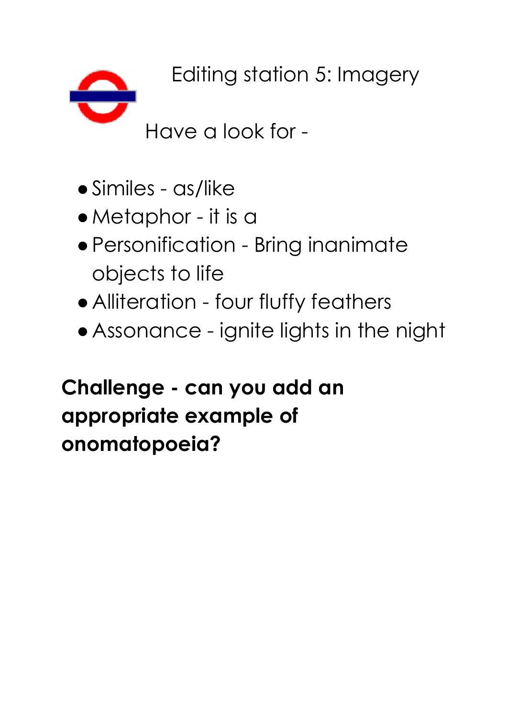Editing station 5: Imagery

Have a look for -

- ●Similes as/like
- ●Metaphor it is a
- ●Personification Bring inanimate objects to life
- ●Alliteration four fluffy feathers
- ●Assonance ignite lights in the night

# **Challenge - can you add an appropriate example of onomatopoeia?**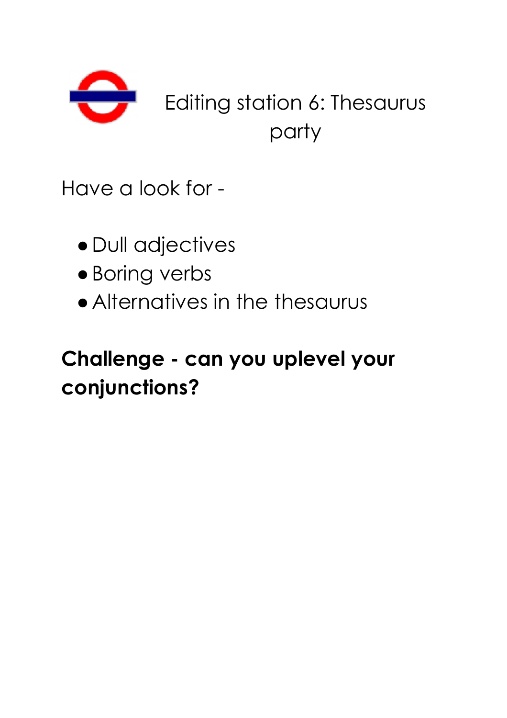

Have a look for -

- ●Dull adjectives
- ●Boring verbs
- ●Alternatives in the thesaurus

### **Challenge - can you uplevel your conjunctions?**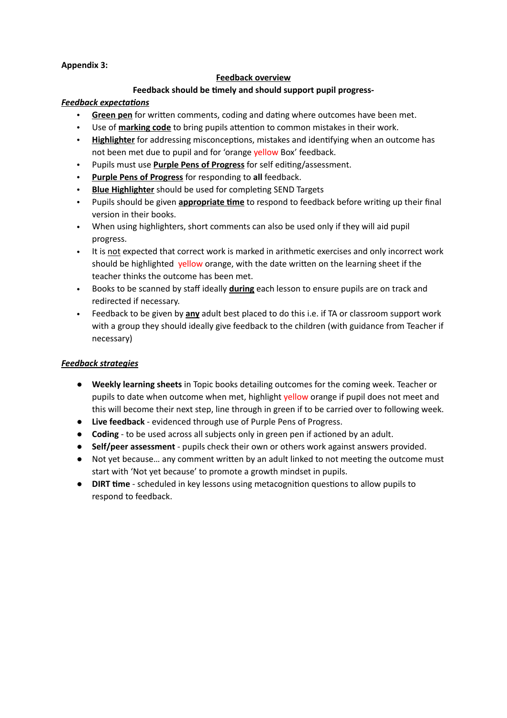**Appendix 3:**

#### **Feedback overview**

#### **Feedback should be timely and should support pupil progress-**

#### *Feedback expectations*

- **Green pen** for written comments, coding and dating where outcomes have been met.
- Use of **marking code** to bring pupils attention to common mistakes in their work.
- **Highlighter** for addressing misconceptions, mistakes and identifying when an outcome has not been met due to pupil and for 'orange yellow Box' feedback.
- Pupils must use **Purple Pens of Progress** for self editing/assessment.
- **Purple Pens of Progress** for responding to **all** feedback.
- **Blue Highlighter** should be used for completing SEND Targets
- Pupils should be given **appropriate time** to respond to feedback before writing up their final version in their books.
- When using highlighters, short comments can also be used only if they will aid pupil progress.
- It is not expected that correct work is marked in arithmetic exercises and only incorrect work should be highlighted yellow orange, with the date written on the learning sheet if the teacher thinks the outcome has been met.
- Books to be scanned by staff ideally **during** each lesson to ensure pupils are on track and redirected if necessary.
- Feedback to be given by **any** adult best placed to do this i.e. if TA or classroom support work with a group they should ideally give feedback to the children (with guidance from Teacher if necessary)

#### *Feedback strategies*

- **Weekly learning sheets** in Topic books detailing outcomes for the coming week. Teacher or pupils to date when outcome when met, highlight yellow orange if pupil does not meet and this will become their next step, line through in green if to be carried over to following week.
- **Live feedback** evidenced through use of Purple Pens of Progress.
- **Coding** to be used across all subjects only in green pen if actioned by an adult.
- **Self/peer assessment**  pupils check their own or others work against answers provided.
- Not yet because… any comment written by an adult linked to not meeting the outcome must start with 'Not yet because' to promote a growth mindset in pupils.
- **DIRT time** scheduled in key lessons using metacognition questions to allow pupils to respond to feedback.